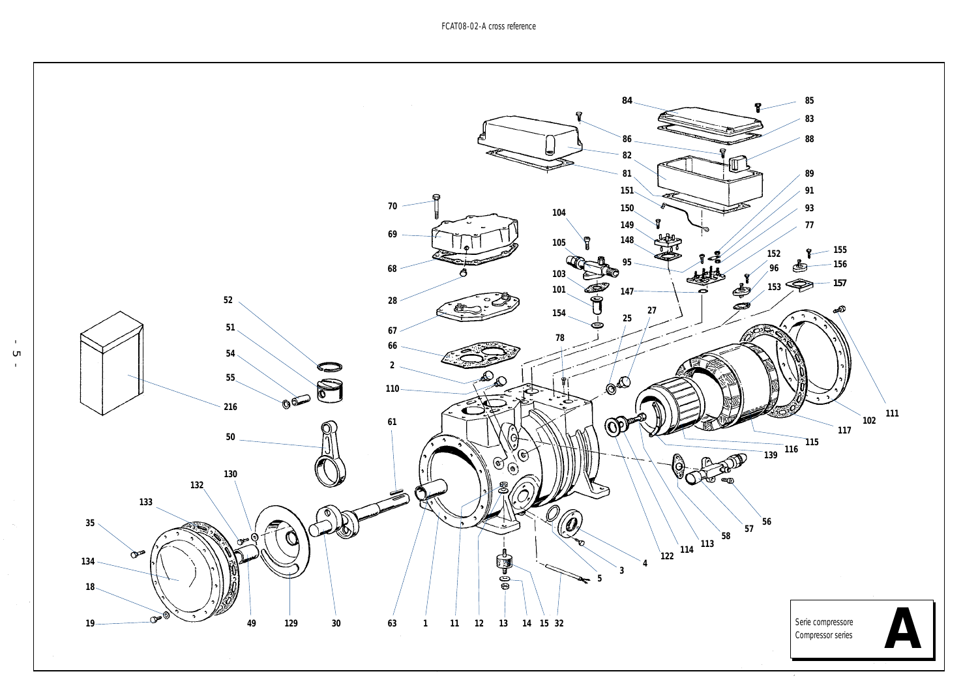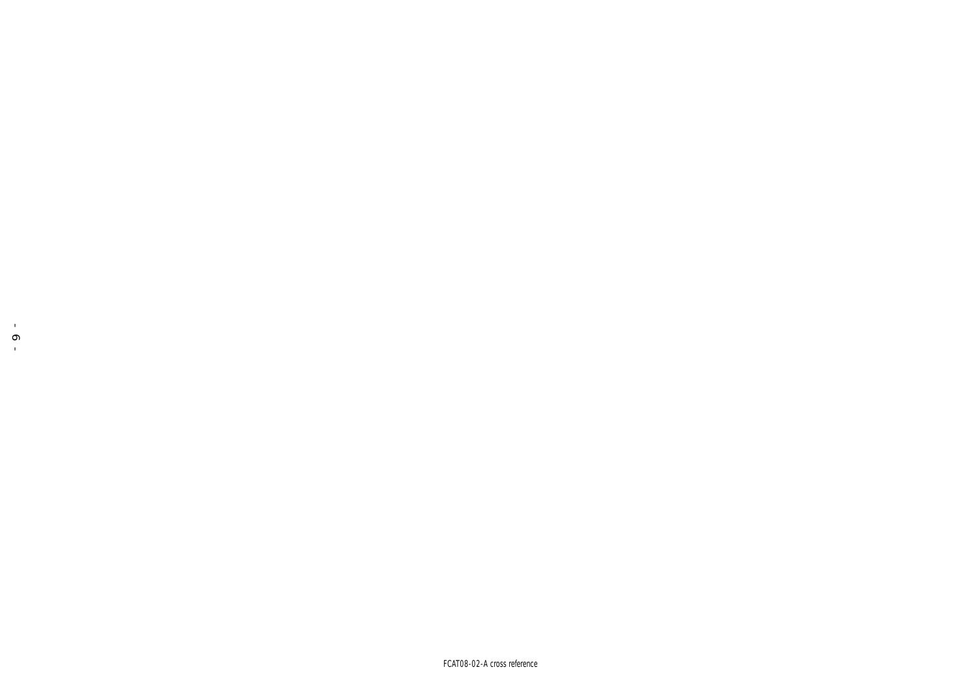FCAT08-02-A cross reference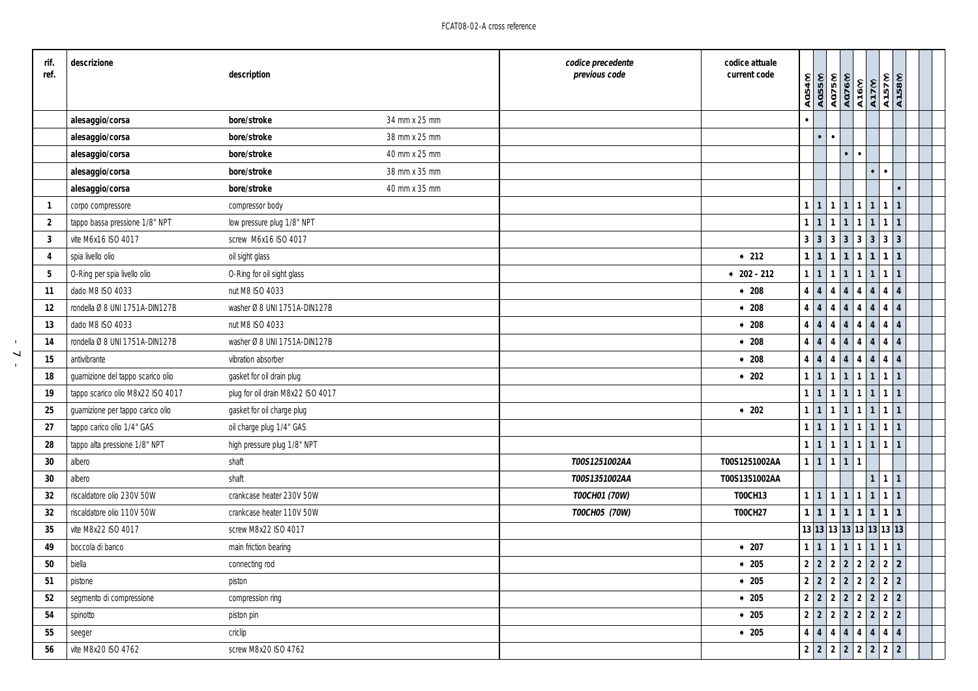| rif.<br>ref. | descrizione                        | description                       |               | codice precedente<br>previous code | codice attuale<br>current code | $\begin{array}{l} \textbf{A}0.54 \, \textbf{N} \\ \textbf{A}0.55 \, \textbf{N} \\ \textbf{A}0.75 \, \textbf{N} \\ \textbf{A}0.76 \, \textbf{N} \\ \textbf{A}16 \, \textbf{N} \\ \textbf{A}16 \, \textbf{N} \\ \textbf{A}15 \, \textbf{N} \\ \textbf{A}15 \, \textbf{N} \\ \textbf{A}15 \, \textbf{N} \\ \textbf{A}15 \, \textbf{N} \\ \textbf{A}15 \, \textbf{N} \end{array}$ |
|--------------|------------------------------------|-----------------------------------|---------------|------------------------------------|--------------------------------|-------------------------------------------------------------------------------------------------------------------------------------------------------------------------------------------------------------------------------------------------------------------------------------------------------------------------------------------------------------------------------|
|              |                                    |                                   |               |                                    |                                |                                                                                                                                                                                                                                                                                                                                                                               |
|              | alesaggio/corsa                    | bore/stroke                       | 34 mm x 25 mm |                                    |                                |                                                                                                                                                                                                                                                                                                                                                                               |
|              | alesaggio/corsa                    | bore/stroke                       | 38 mm x 25 mm |                                    |                                | $\bullet$<br>$\bullet$                                                                                                                                                                                                                                                                                                                                                        |
|              | alesaggio/corsa                    | bore/stroke                       | 40 mm x 25 mm |                                    |                                | $\bullet$                                                                                                                                                                                                                                                                                                                                                                     |
|              | alesaggio/corsa                    | bore/stroke                       | 38 mm x 35 mm |                                    |                                | $\bullet$<br>$\bullet$                                                                                                                                                                                                                                                                                                                                                        |
|              | alesaggio/corsa                    | bore/stroke                       | 40 mm x 35 mm |                                    |                                |                                                                                                                                                                                                                                                                                                                                                                               |
| $\mathbf{1}$ | corpo compressore                  | compressor body                   |               |                                    |                                | $1\vert 1$<br>$\mathbf{1}$<br>1 <sup>1</sup><br>$1\vert 1$<br>$\mathbf{1}$<br>$\mathbf{1}$                                                                                                                                                                                                                                                                                    |
| 2            | tappo bassa pressione 1/8" NPT     | low pressure plug 1/8" NPT        |               |                                    |                                | $1\vert 1$<br>$1 \mid$<br>$\mathbf{1}$<br>1 <sup>1</sup><br>$1\vert 1$<br>$\mathbf{1}$                                                                                                                                                                                                                                                                                        |
| 3            | vite M6x16 ISO 4017                | screw M6x16 ISO 4017              |               |                                    |                                | $3 \mid 3 \mid 3 \mid 3 \mid$<br>$\overline{\mathbf{3}}$<br>333                                                                                                                                                                                                                                                                                                               |
| 4            | spia livello olio                  | oil sight glass                   |               |                                    | $\blacktriangleright$ 212      | 1 1 <br>$\mathbf{1}$<br>1 1 <br>1111                                                                                                                                                                                                                                                                                                                                          |
| 5            | O-Ring per spia livello olio       | O-Ring for oil sight glass        |               |                                    | $202 - 212$                    | 1 1 <br>$1 \vert 1 \vert$<br>$\mathbf{1}$<br>$1111$                                                                                                                                                                                                                                                                                                                           |
| 11           | dado M8 ISO 4033                   | nut M8 ISO 4033                   |               |                                    | $\blacktriangleright$ 208      | $4 \mid 4$<br>4 4 <br>4<br> 4 4 4                                                                                                                                                                                                                                                                                                                                             |
| 12           | rondella Ø 8 UNI 1751A-DIN127B     | washer Ø 8 UNI 1751A-DIN127B      |               |                                    | $\blacktriangleright$ 208      | $4 \mid 4 \mid$<br>4 <br>$\overline{4}$<br> 4 4 4<br>$\vert$ 4                                                                                                                                                                                                                                                                                                                |
| 13           | dado M8 ISO 4033                   | nut M8 ISO 4033                   |               |                                    | $\blacktriangleright$ 208      | $4 \mid 4$<br>$\overline{4}$<br> 4 4 4<br>$\vert$ 4<br>$\overline{4}$                                                                                                                                                                                                                                                                                                         |
| 14           | rondella Ø 8 UNI 1751A-DIN127B     | washer Ø 8 UNI 1751A-DIN127B      |               |                                    | $\blacktriangleright$ 208      | $4 \mid 4$<br>$\overline{4}$<br>4   4   4<br>$\vert$ 4<br>$\overline{4}$                                                                                                                                                                                                                                                                                                      |
| 15           | antivibrante                       | vibration absorber                |               |                                    | $\blacktriangleright$ 208      | 4 4<br>$\overline{4}$<br>4   4   4<br>$\overline{4}$<br>$\overline{4}$                                                                                                                                                                                                                                                                                                        |
| 18           | guarnizione del tappo scarico olio | gasket for oil drain plug         |               |                                    | $\blacktriangleright$ 202      | $1\vert 1$<br>$\mathbf{1}$<br>1 <sup>1</sup><br>1 1<br>$\mathbf{1}$                                                                                                                                                                                                                                                                                                           |
| 19           | tappo scarico olio M8x22 ISO 4017  | plug for oil drain M8x22 ISO 4017 |               |                                    |                                | 1 1<br>1 1 1<br>$\mathbf{1}$<br>$\mathbf{1}$<br>$\mathbf{1}$                                                                                                                                                                                                                                                                                                                  |
| 25           | guarnizione per tappo carico olio  | gasket for oil charge plug        |               |                                    | $\blacktriangleright$ 202      | 1 1 <br>$1111$<br>$\mathbf{1}$<br>1 <sup>1</sup><br>$\vert$ 1                                                                                                                                                                                                                                                                                                                 |
| 27           | tappo carico olio 1/4" GAS         | oil charge plug 1/4" GAS          |               |                                    |                                | 1 1 <br>1 1<br>$\mathbf{1}$<br>$1111$                                                                                                                                                                                                                                                                                                                                         |
| 28           | tappo alta pressione 1/8" NPT      | high pressure plug 1/8" NPT       |               |                                    |                                | 1 1 <br>1111<br>$1 \mid 1$<br>$\mathbf{1}$                                                                                                                                                                                                                                                                                                                                    |
| 30           | albero                             | shaft                             |               | T00S1251002AA                      | T00S1251002AA                  | 1 1 1 1 <br>$\overline{1}$                                                                                                                                                                                                                                                                                                                                                    |
| 30           | albero                             | shaft                             |               | T00S1351002AA                      | T00S1351002AA                  | 1 1 1                                                                                                                                                                                                                                                                                                                                                                         |
| 32           | riscaldatore olio 230V 50W         | crankcase heater 230V 50W         |               | T00CH01 (70W)                      | <b>T00CH13</b>                 | 1 1 <br>1111<br>1 1 <br>$\mathbf{1}$                                                                                                                                                                                                                                                                                                                                          |
| 32           | riscaldatore olio 110V 50W         | crankcase heater 110V 50W         |               | T00CH05 (70W)                      | <b>T00CH27</b>                 | 1 1 1 1 <br>$\mathbf{1}$<br>1111                                                                                                                                                                                                                                                                                                                                              |
| 35           | vite M8x22 ISO 4017                | screw M8x22 ISO 4017              |               |                                    |                                | 13 13 13 13 13 13 13 13 13                                                                                                                                                                                                                                                                                                                                                    |
| 49           | boccola di banco                   | main friction bearing             |               |                                    | $\blacktriangleright$ 207      | 1 1 <br>$\mathbf{1}$<br>1111<br>1 <sup>1</sup><br>$\mathbf{1}$                                                                                                                                                                                                                                                                                                                |
| 50           | biella                             | connecting rod                    |               |                                    | $\blacktriangleright$ 205      | 2 2 2<br>2 2 <br>$222$                                                                                                                                                                                                                                                                                                                                                        |
| 51           | pistone                            | piston                            |               |                                    | $\blacktriangleright$ 205      | 2 2 2 2 2 2 2 2                                                                                                                                                                                                                                                                                                                                                               |
| 52           | segmento di compressione           | compression ring                  |               |                                    | $\blacktriangleright$ 205      | 2 2 2 2 2 2 2 2                                                                                                                                                                                                                                                                                                                                                               |
| 54           | spinotto                           | piston pin                        |               |                                    | $\blacktriangleright$ 205      | 2 2 2 2 2 2 2 2                                                                                                                                                                                                                                                                                                                                                               |
| 55           | seeger                             | criclip                           |               |                                    | $\blacktriangleright$ 205      | 4   4   4   4   4   4   4   4                                                                                                                                                                                                                                                                                                                                                 |
| 56           | vite M8x20 ISO 4762                | screw M8x20 ISO 4762              |               |                                    |                                | 2 2 2 2 2 2 2 2                                                                                                                                                                                                                                                                                                                                                               |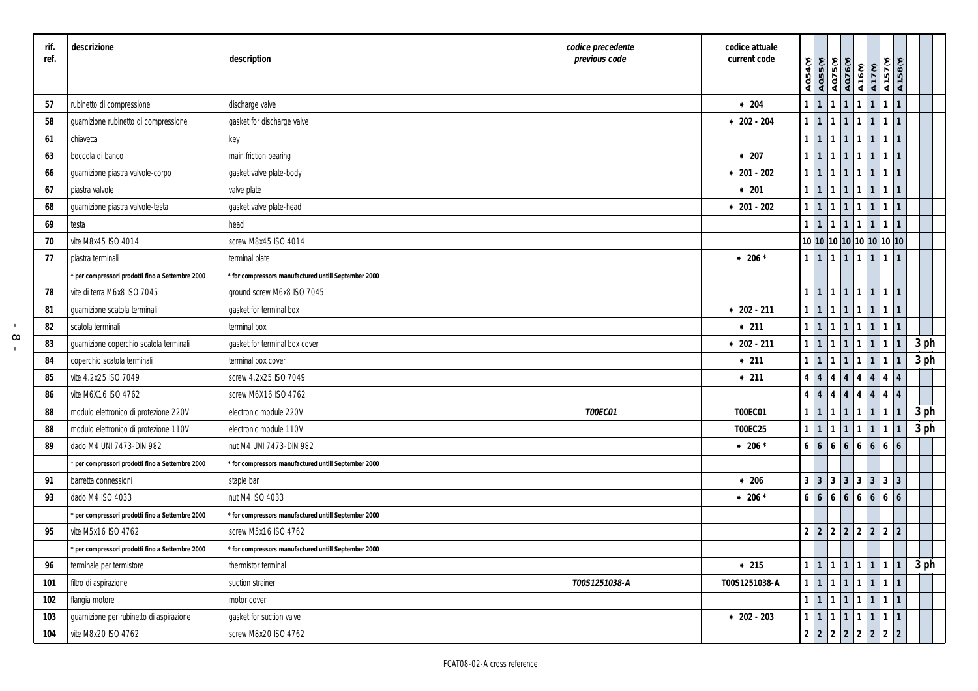| rif.<br>ref. | descrizione                                    | description                                          | codice precedente<br>previous code | codice attuale<br>current code  |                                                                                                                                                                                                                                                                                                                                                 |                         |                |             |                   |              |      |  |
|--------------|------------------------------------------------|------------------------------------------------------|------------------------------------|---------------------------------|-------------------------------------------------------------------------------------------------------------------------------------------------------------------------------------------------------------------------------------------------------------------------------------------------------------------------------------------------|-------------------------|----------------|-------------|-------------------|--------------|------|--|
|              |                                                |                                                      |                                    |                                 | $\begin{array}{l} \textbf{A}0.54 \, \textbf{N} \\ \textbf{A}0.55 \, \textbf{N} \\ \textbf{A}0.75 \, \textbf{N} \\ \textbf{A}0.76 \, \textbf{N} \\ \textbf{A}16 \, \textbf{N} \\ \textbf{A}15 \, \textbf{N} \\ \textbf{A}15 \, \textbf{N} \\ \textbf{A}15 \, \textbf{N} \\ \textbf{A}15 \, \textbf{N} \\ \textbf{A}15 \, \textbf{N} \end{array}$ |                         |                |             |                   |              |      |  |
| 57           | rubinetto di compressione                      | discharge valve                                      |                                    | $\blacktriangleright$ 204       | 1 1 1 1                                                                                                                                                                                                                                                                                                                                         |                         |                | 1 1 1       |                   | $\mathbf{1}$ |      |  |
| 58           | quarnizione rubinetto di compressione          | gasket for discharge valve                           |                                    | $\triangleright$ 202 - 204      | 1 1 1 1                                                                                                                                                                                                                                                                                                                                         |                         | $\mathbf{1}$   | 111         |                   | 1            |      |  |
| 61           | chiavetta                                      | key                                                  |                                    |                                 | 1 1 1 1                                                                                                                                                                                                                                                                                                                                         |                         | $\mathbf{1}$   | 111         |                   | $\vert$ 1    |      |  |
| 63           | boccola di banco                               | main friction bearing                                |                                    | $\blacktriangleright$ 207       | 1 1 1 1                                                                                                                                                                                                                                                                                                                                         |                         | $\mathbf{1}$   | 1111        |                   |              |      |  |
| 66           | guarnizione piastra valvole-corpo              | gasket valve plate-body                              |                                    | $\bullet$ 201 - 202             | 1 1                                                                                                                                                                                                                                                                                                                                             | 11                      | $\mathbf{1}$   | 111         |                   |              |      |  |
| 67           | piastra valvole                                | valve plate                                          |                                    | $\blacktriangleright$ 201       | 1 1 1 1                                                                                                                                                                                                                                                                                                                                         |                         | $\mathbf{1}$   | 111         |                   | $\mathbf{1}$ |      |  |
| 68           | guarnizione piastra valvole-testa              | gasket valve plate-head                              |                                    | $\blacktriangleright$ 201 - 202 | $1 \vert 1 \vert$                                                                                                                                                                                                                                                                                                                               | 111                     | 1              | $\vert$ 1   | $\vert$ 1 $\vert$ | $\mathbf{1}$ |      |  |
| 69           | testa                                          | head                                                 |                                    |                                 | 1 1 1 1                                                                                                                                                                                                                                                                                                                                         |                         | $\mathbf{1}$   | 111         |                   | $\mathbf{1}$ |      |  |
| 70           | vite M8x45 ISO 4014                            | screw M8x45 ISO 4014                                 |                                    |                                 | 10 10 10 10 10 10 10 10 10                                                                                                                                                                                                                                                                                                                      |                         |                |             |                   |              |      |  |
| 77           | piastra terminali                              | terminal plate                                       |                                    | $\bullet$ 206 $*$               | $1 \mid 1 \mid 1 \mid 1 \mid 1 \mid 1 \mid 1 \mid 1$                                                                                                                                                                                                                                                                                            |                         |                |             |                   |              |      |  |
|              | per compressori prodotti fino a Settembre 2000 | * for compressors manufactured untill September 2000 |                                    |                                 |                                                                                                                                                                                                                                                                                                                                                 |                         |                |             |                   |              |      |  |
| 78           | vite di terra M6x8 ISO 7045                    | ground screw M6x8 ISO 7045                           |                                    |                                 | 1 1 1 1                                                                                                                                                                                                                                                                                                                                         |                         | $\mathbf{1}$   | 1111        |                   |              |      |  |
| 81           | quarnizione scatola terminali                  | gasket for terminal box                              |                                    | $202 - 211$                     | 1 1 1 1                                                                                                                                                                                                                                                                                                                                         |                         | $\mathbf{1}$   | 1111        |                   |              |      |  |
| 82           | scatola terminali                              | terminal box                                         |                                    | $\blacktriangleright$ 211       | 1 1 1 1                                                                                                                                                                                                                                                                                                                                         |                         | $\mathbf{1}$   | 111         |                   | -1           |      |  |
| 83           | guarnizione coperchio scatola terminali        | gasket for terminal box cover                        |                                    | $202 - 211$                     | 1 1 1 1                                                                                                                                                                                                                                                                                                                                         |                         | $\mathbf{1}$   | $\vert$ 1   | $\vert$ 1 $\vert$ | $\mathbf{1}$ | 3 ph |  |
| 84           | coperchio scatola terminali                    | terminal box cover                                   |                                    | $\blacktriangleright$ 211       | $1 \vert 1$                                                                                                                                                                                                                                                                                                                                     | $1\vert 1$              | 1              | $\vert$ 1   | $\vert$ 1         | $\mathbf{1}$ | 3 ph |  |
| 85           | vite 4.2x25 ISO 7049                           | screw 4.2x25 ISO 7049                                |                                    | $\blacktriangleright$ 211       | $4 \mid 4$                                                                                                                                                                                                                                                                                                                                      | $\overline{\mathbf{4}}$ | $\vert$ 4<br>4 | $\vert$ 4   | 4 4               |              |      |  |
| 86           | vite M6X16 ISO 4762                            | screw M6X16 ISO 4762                                 |                                    |                                 | $4 \mid 4$                                                                                                                                                                                                                                                                                                                                      | 4 4                     | $\overline{4}$ | $ 4\rangle$ | 4 4               |              |      |  |
| 88           | modulo elettronico di protezione 220V          | electronic module 220V                               | <b>TOOECO1</b>                     | <b>T00EC01</b>                  | 1 1 1 1                                                                                                                                                                                                                                                                                                                                         |                         | $\mathbf{1}$   | $\vert$ 1   | $\mathbf{1}$      | $\mathbf{1}$ | 3 ph |  |
| 88           | modulo elettronico di protezione 110V          | electronic module 110V                               |                                    | <b>T00EC25</b>                  | $1 \mid 1 \mid 1 \mid 1$                                                                                                                                                                                                                                                                                                                        |                         | $\mathbf{1}$   | $\vert$ 1   | 1111              |              | 3 ph |  |
| 89           | dado M4 UNI 7473-DIN 982                       | nut M4 UNI 7473-DIN 982                              |                                    | $\bullet$ 206 $*$               | 6 6 6 6                                                                                                                                                                                                                                                                                                                                         |                         |                | 6 6 6 6     |                   |              |      |  |
|              | per compressori prodotti fino a Settembre 2000 | * for compressors manufactured untill September 2000 |                                    |                                 |                                                                                                                                                                                                                                                                                                                                                 |                         |                |             |                   |              |      |  |
| 91           | barretta connessioni                           | staple bar                                           |                                    | $\blacktriangleright$ 206       | $3 \mid 3 \mid 3 \mid 3$                                                                                                                                                                                                                                                                                                                        |                         | $\mathbf{3}$   |             | $3 \mid 3 \mid 3$ |              |      |  |
| 93           | dado M4 ISO 4033                               | nut M4 ISO 4033                                      |                                    | $\bullet$ 206 $*$               | 6 6 6 6                                                                                                                                                                                                                                                                                                                                         |                         |                | 6666        |                   |              |      |  |
|              | per compressori prodotti fino a Settembre 2000 | * for compressors manufactured untill September 2000 |                                    |                                 |                                                                                                                                                                                                                                                                                                                                                 |                         |                |             |                   |              |      |  |
| 95           | vite M5x16 ISO 4762                            | screw M5x16 ISO 4762                                 |                                    |                                 | 2 2 2 2 2 2 2 2                                                                                                                                                                                                                                                                                                                                 |                         |                |             |                   |              |      |  |
|              | per compressori prodotti fino a Settembre 2000 | * for compressors manufactured untill September 2000 |                                    |                                 |                                                                                                                                                                                                                                                                                                                                                 |                         |                |             |                   |              |      |  |
| 96           | terminale per termistore                       | thermistor terminal                                  |                                    | $\blacktriangleright$ 215       | 1 1 1 1 1 1 1 1                                                                                                                                                                                                                                                                                                                                 |                         |                |             |                   |              | 3 ph |  |
| 101          | filtro di aspirazione                          | suction strainer                                     | T00S1251038-A                      | T00S1251038-A                   | 1 1 1 1 1 1 1 1                                                                                                                                                                                                                                                                                                                                 |                         |                |             |                   |              |      |  |
| 102          | flangia motore                                 | motor cover                                          |                                    |                                 | 1 1 1 1 1 1 1 1                                                                                                                                                                                                                                                                                                                                 |                         |                |             |                   |              |      |  |
| 103          | guarnizione per rubinetto di aspirazione       | gasket for suction valve                             |                                    | $202 - 203$                     | 1 1 1 1 1 1 1 1                                                                                                                                                                                                                                                                                                                                 |                         |                |             |                   |              |      |  |
| 104          | vite M8x20 ISO 4762                            | screw M8x20 ISO 4762                                 |                                    |                                 | $2$ 2 2 2 2 2 2 2                                                                                                                                                                                                                                                                                                                               |                         |                |             |                   |              |      |  |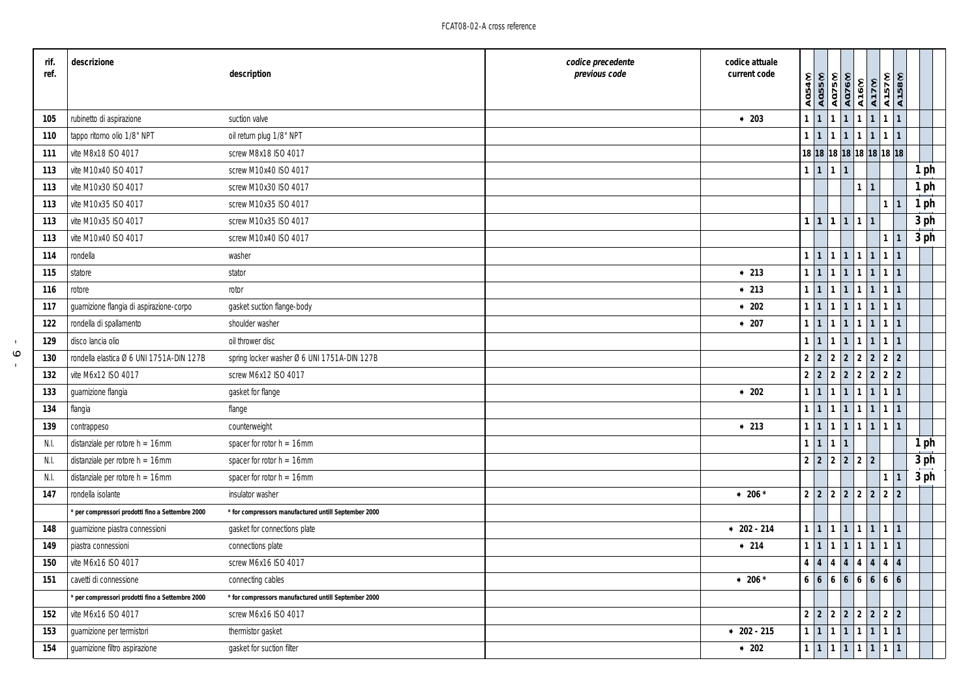| rif.<br>ref. | descrizione                                    | description                                          | codice precedente<br>previous code | codice attuale<br>current code |                                                                                                                                                                                                                  |       |                                        |           |                   |                                                                                                                                                                                                                      |      |
|--------------|------------------------------------------------|------------------------------------------------------|------------------------------------|--------------------------------|------------------------------------------------------------------------------------------------------------------------------------------------------------------------------------------------------------------|-------|----------------------------------------|-----------|-------------------|----------------------------------------------------------------------------------------------------------------------------------------------------------------------------------------------------------------------|------|
|              |                                                |                                                      |                                    |                                | $\begin{array}{l} \hline \textbf{A} \textbf{0.54} \textbf{(V)} \\ \textbf{A} \textbf{0.55} \textbf{(V)} \\ \textbf{A} \textbf{0.75} \textbf{(V)} \\ \textbf{A} \textbf{0.76} \textbf{(V)} \\ \hline \end{array}$ |       |                                        |           |                   | $\begin{array}{c}\n \hline\n A 16 \left\langle Y\right\rangle \\ \hline\n A 17 \left\langle Y\right\rangle \\ \hline\n A 157 \left\langle Y\right\rangle \\ \hline\n A 158 \left\langle Y\right\rangle\n\end{array}$ |      |
| 105          | rubinetto di aspirazione                       | suction valve                                        |                                    | $\blacktriangleright$ 203      | $1 \mid 1 \mid 1 \mid 1$                                                                                                                                                                                         |       | $\mathbf{1}$                           | $\vert$ 1 | $\vert$ 1 $\vert$ |                                                                                                                                                                                                                      |      |
| 110          | tappo ritorno olio 1/8" NPT                    | oil return plug 1/8" NPT                             |                                    |                                |                                                                                                                                                                                                                  | 1 1 1 | $\mathbf{1}$                           | $\vert$ 1 | $\mathbf{1}$      | 1                                                                                                                                                                                                                    |      |
| 111          | vite M8x18 ISO 4017                            | screw M8x18 ISO 4017                                 |                                    |                                |                                                                                                                                                                                                                  |       |                                        |           |                   | 18 18 18 18 18 18 18 18 18                                                                                                                                                                                           |      |
| 113          | vite M10x40 ISO 4017                           | screw M10x40 ISO 4017                                |                                    |                                | $1 \mid 1 \mid 1 \mid 1$                                                                                                                                                                                         |       |                                        |           |                   |                                                                                                                                                                                                                      | 1 ph |
| 113          | vite M10x30 ISO 4017                           | screw M10x30 ISO 4017                                |                                    |                                |                                                                                                                                                                                                                  |       |                                        | 1 1       |                   |                                                                                                                                                                                                                      | 1 ph |
| 113          | vite M10x35 ISO 4017                           | screw M10x35 ISO 4017                                |                                    |                                |                                                                                                                                                                                                                  |       |                                        |           |                   | 1 1                                                                                                                                                                                                                  | 1 ph |
| 113          | vite M10x35 ISO 4017                           | screw M10x35 ISO 4017                                |                                    |                                |                                                                                                                                                                                                                  |       | $1 \mid 1 \mid 1 \mid 1 \mid 1 \mid 1$ |           |                   |                                                                                                                                                                                                                      | 3 ph |
| 113          | vite M10x40 ISO 4017                           | screw M10x40 ISO 4017                                |                                    |                                |                                                                                                                                                                                                                  |       |                                        |           | $\mathbf{1}$      | -1                                                                                                                                                                                                                   | 3 ph |
| 114          | rondella                                       | washer                                               |                                    |                                | 1 1 1 1                                                                                                                                                                                                          |       | $\vert$ 1                              |           | 1111              |                                                                                                                                                                                                                      |      |
| 115          | statore                                        | stator                                               |                                    | $\blacktriangleright$ 213      | $1 \mid 1 \mid 1 \mid 1$                                                                                                                                                                                         |       | $\mathbf{1}$                           | 1         | $\vert$ 1 $\vert$ |                                                                                                                                                                                                                      |      |
| 116          | rotore                                         | rotor                                                |                                    | $\blacktriangleright$ 213      | $1 \mid 1 \mid 1 \mid 1$                                                                                                                                                                                         |       | $\mathbf{1}$                           |           | 1111              |                                                                                                                                                                                                                      |      |
| 117          | guarnizione flangia di aspirazione-corpo       | gasket suction flange-body                           |                                    | $\blacktriangleright$ 202      | $1 \vert$                                                                                                                                                                                                        | 1111  | $\mathbf{1}$                           | $\vert$ 1 | $\vert$ 1 $\vert$ |                                                                                                                                                                                                                      |      |
| 122          | rondella di spallamento                        | shoulder washer                                      |                                    | $\blacktriangleright$ 207      | 1 1 1 1                                                                                                                                                                                                          |       | $\vert$ 1                              |           | 1111              |                                                                                                                                                                                                                      |      |
| 129          | disco lancia olio                              | oil thrower disc                                     |                                    |                                | 1 1 1 1                                                                                                                                                                                                          |       | $\mathbf{1}$                           | $\vert$ 1 | 111               |                                                                                                                                                                                                                      |      |
| 130          | rondella elastica Ø 6 UNI 1751A-DIN 127B       | spring locker washer Ø 6 UNI 1751A-DIN 127B          |                                    |                                | $2$ $2$ $2$ $2$                                                                                                                                                                                                  |       |                                        | 2 2 2 2   |                   |                                                                                                                                                                                                                      |      |
| 132          | vite M6x12 ISO 4017                            | screw M6x12 ISO 4017                                 |                                    |                                |                                                                                                                                                                                                                  |       | 2 2 2 2 2 2 2 2                        |           |                   |                                                                                                                                                                                                                      |      |
| 133          | guarnizione flangia                            | gasket for flange                                    |                                    | $\blacktriangleright$ 202      | $1 \mid 1 \mid 1 \mid 1$                                                                                                                                                                                         |       | $\mathbf{1}$                           |           | 1111              |                                                                                                                                                                                                                      |      |
| 134          | flangia                                        | flange                                               |                                    |                                | 1 1 1 1                                                                                                                                                                                                          |       | $\vert$ 1                              |           | 1111              |                                                                                                                                                                                                                      |      |
| 139          | contrappeso                                    | counterweight                                        |                                    | $\blacktriangleright$ 213      | 1 1 1 1                                                                                                                                                                                                          |       |                                        | 11111     |                   |                                                                                                                                                                                                                      |      |
| N.I.         | distanziale per rotore $h = 16$ mm             | spacer for rotor $h = 16$ mm                         |                                    |                                | 1 1 1 1                                                                                                                                                                                                          |       |                                        |           |                   |                                                                                                                                                                                                                      | 1 ph |
| N.I.         | distanziale per rotore $h = 16$ mm             | spacer for rotor $h = 16$ mm                         |                                    |                                |                                                                                                                                                                                                                  |       | 2 2 2 2 2 2                            |           |                   |                                                                                                                                                                                                                      | 3 ph |
| N.I.         | distanziale per rotore $h = 16$ mm             | spacer for rotor $h = 16$ mm                         |                                    |                                |                                                                                                                                                                                                                  |       |                                        |           |                   | $1\vert 1$                                                                                                                                                                                                           | 3 ph |
| 147          | rondella isolante                              | insulator washer                                     |                                    | $\bullet$ 206 $*$              |                                                                                                                                                                                                                  |       | 2 2 2 2 2 2 2 2                        |           |                   |                                                                                                                                                                                                                      |      |
|              | per compressori prodotti fino a Settembre 2000 | * for compressors manufactured untill September 2000 |                                    |                                |                                                                                                                                                                                                                  |       |                                        |           |                   |                                                                                                                                                                                                                      |      |
| 148          | guarnizione piastra connessioni                | gasket for connections plate                         |                                    | $202 - 214$                    | 1 1 1 1                                                                                                                                                                                                          |       |                                        | 11111     |                   |                                                                                                                                                                                                                      |      |
| 149          | piastra connessioni                            | connections plate                                    |                                    | $\blacktriangleright$ 214      | 1 1 1 1                                                                                                                                                                                                          |       | 1                                      |           | 1111              |                                                                                                                                                                                                                      |      |
| 150          | vite M6x16 ISO 4017                            | screw M6x16 ISO 4017                                 |                                    |                                | 4   4   4   4                                                                                                                                                                                                    |       |                                        | 4 4 4 4   |                   |                                                                                                                                                                                                                      |      |
| 151          | cavetti di connessione                         | connecting cables                                    |                                    | $\bullet$ 206 $*$              |                                                                                                                                                                                                                  |       | 666666666                              |           |                   |                                                                                                                                                                                                                      |      |
|              | per compressori prodotti fino a Settembre 2000 | * for compressors manufactured untill September 2000 |                                    |                                |                                                                                                                                                                                                                  |       |                                        |           |                   |                                                                                                                                                                                                                      |      |
| 152          | vite M6x16 ISO 4017                            | screw M6x16 ISO 4017                                 |                                    |                                |                                                                                                                                                                                                                  |       | $2$ 2 2 2 2 2 2 2                      |           |                   |                                                                                                                                                                                                                      |      |
| 153          | guarnizione per termistori                     | thermistor gasket                                    |                                    | $202 - 215$                    |                                                                                                                                                                                                                  |       | 111111111                              |           |                   |                                                                                                                                                                                                                      |      |
| 154          | guarnizione filtro aspirazione                 | gasket for suction filter                            |                                    | $\blacktriangleright$ 202      |                                                                                                                                                                                                                  |       | 1111111111                             |           |                   |                                                                                                                                                                                                                      |      |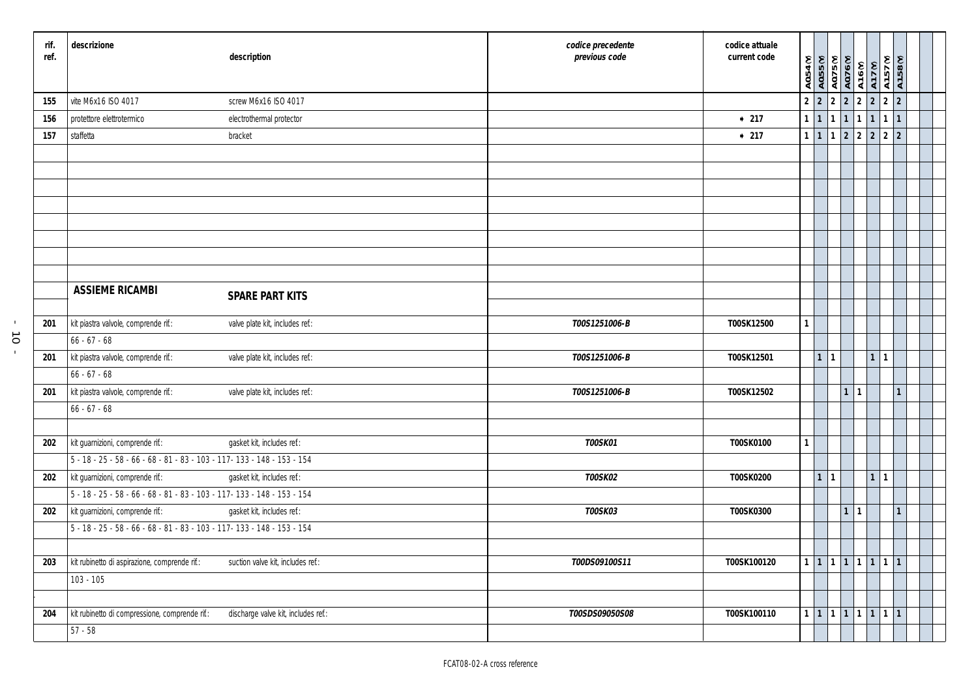| rif.<br>ref. | descrizione                                                                | description                         | codice precedente<br>previous code | codice attuale<br>current code | $\begin{array}{l} \hline {\bf A} {\bf 0.54} \overline{\bf N} \\ \hline {\bf A} {\bf 0.75} \overline{\bf N} \\ {\bf A} {\bf 0.75} \overline{\bf N} \\ {\bf A} {\bf 0.75} \overline{\bf N} \\ {\bf A} {\bf 1.6} \overline{\bf A} \\ {\bf A} {\bf 1.7} \overline{\bf N} \\ {\bf A} {\bf 1.57} \overline{\bf N} \\ {\bf A} {\bf 1.57} \overline{\bf N} \\ {\bf A} {\bf 1.58} \overline{\bf N} \end{array}$ |     |           |           |                 |              |  |
|--------------|----------------------------------------------------------------------------|-------------------------------------|------------------------------------|--------------------------------|--------------------------------------------------------------------------------------------------------------------------------------------------------------------------------------------------------------------------------------------------------------------------------------------------------------------------------------------------------------------------------------------------------|-----|-----------|-----------|-----------------|--------------|--|
|              |                                                                            |                                     |                                    |                                |                                                                                                                                                                                                                                                                                                                                                                                                        |     |           |           |                 |              |  |
| 155          | vite M6x16 ISO 4017                                                        | screw M6x16 ISO 4017                |                                    |                                |                                                                                                                                                                                                                                                                                                                                                                                                        |     |           |           | 2 2 2 2 2 2 2 2 |              |  |
| 156          | protettore elettrotermico                                                  | electrothermal protector            |                                    | $\blacktriangleright$ 217      | 1 1 1 1                                                                                                                                                                                                                                                                                                                                                                                                |     |           |           | 111111          |              |  |
| 157          | staffetta                                                                  | bracket                             |                                    | $\blacktriangleright$ 217      | 1 1                                                                                                                                                                                                                                                                                                                                                                                                    |     | 1 2       |           | 2 2 2 2         |              |  |
|              |                                                                            |                                     |                                    |                                |                                                                                                                                                                                                                                                                                                                                                                                                        |     |           |           |                 |              |  |
|              |                                                                            |                                     |                                    |                                |                                                                                                                                                                                                                                                                                                                                                                                                        |     |           |           |                 |              |  |
|              |                                                                            |                                     |                                    |                                |                                                                                                                                                                                                                                                                                                                                                                                                        |     |           |           |                 |              |  |
|              |                                                                            |                                     |                                    |                                |                                                                                                                                                                                                                                                                                                                                                                                                        |     |           |           |                 |              |  |
|              |                                                                            |                                     |                                    |                                |                                                                                                                                                                                                                                                                                                                                                                                                        |     |           |           |                 |              |  |
|              |                                                                            |                                     |                                    |                                |                                                                                                                                                                                                                                                                                                                                                                                                        |     |           |           |                 |              |  |
|              |                                                                            |                                     |                                    |                                |                                                                                                                                                                                                                                                                                                                                                                                                        |     |           |           |                 |              |  |
|              |                                                                            |                                     |                                    |                                |                                                                                                                                                                                                                                                                                                                                                                                                        |     |           |           |                 |              |  |
|              | <b>ASSIEME RICAMBI</b>                                                     | <b>SPARE PART KITS</b>              |                                    |                                |                                                                                                                                                                                                                                                                                                                                                                                                        |     |           |           |                 |              |  |
|              |                                                                            |                                     |                                    |                                |                                                                                                                                                                                                                                                                                                                                                                                                        |     |           |           |                 |              |  |
| 201          | kit piastra valvole, comprende rif.:                                       | valve plate kit, includes ref .:    | T00S1251006-B                      | T00SK12500                     | 1                                                                                                                                                                                                                                                                                                                                                                                                      |     |           |           |                 |              |  |
|              | $66 - 67 - 68$                                                             |                                     |                                    |                                |                                                                                                                                                                                                                                                                                                                                                                                                        |     |           |           |                 |              |  |
| 201          | kit piastra valvole, comprende rif.:                                       | valve plate kit, includes ref.:     | T00S1251006-B                      | T00SK12501                     |                                                                                                                                                                                                                                                                                                                                                                                                        | 1 1 |           |           | $1\vert1$       |              |  |
|              | $66 - 67 - 68$                                                             |                                     |                                    |                                |                                                                                                                                                                                                                                                                                                                                                                                                        |     |           |           |                 |              |  |
| 201          | kit piastra valvole, comprende rif.:                                       | valve plate kit, includes ref.:     | T00S1251006-B                      | T00SK12502                     |                                                                                                                                                                                                                                                                                                                                                                                                        |     | $\vert$ 1 | $\vert$ 1 |                 | $\mathbf{1}$ |  |
|              | $66 - 67 - 68$                                                             |                                     |                                    |                                |                                                                                                                                                                                                                                                                                                                                                                                                        |     |           |           |                 |              |  |
|              |                                                                            |                                     |                                    |                                |                                                                                                                                                                                                                                                                                                                                                                                                        |     |           |           |                 |              |  |
| 202          | kit guarnizioni, comprende rif.:                                           | gasket kit, includes ref.:          | <b>TOOSKO1</b>                     | T00SK0100                      | $\mathbf{1}$                                                                                                                                                                                                                                                                                                                                                                                           |     |           |           |                 |              |  |
|              | $5 - 18 - 25 - 58 - 66 - 68 - 81 - 83 - 103 - 117 - 133 - 148 - 153 - 154$ |                                     |                                    |                                |                                                                                                                                                                                                                                                                                                                                                                                                        |     |           |           |                 |              |  |
| 202          | kit guarnizioni, comprende rif.:                                           | gasket kit, includes ref.:          | <b>TOOSKO2</b>                     | T00SK0200                      |                                                                                                                                                                                                                                                                                                                                                                                                        | 1 1 |           |           | $1\vert1$       |              |  |
|              | $5 - 18 - 25 - 58 - 66 - 68 - 81 - 83 - 103 - 117 - 133 - 148 - 153 - 154$ |                                     |                                    |                                |                                                                                                                                                                                                                                                                                                                                                                                                        |     |           |           |                 |              |  |
| 202          | kit guarnizioni, comprende rif.:                                           | gasket kit, includes ref.:          | <i><b>TOOSKO3</b></i>              | T00SK0300                      |                                                                                                                                                                                                                                                                                                                                                                                                        |     | $\vert$ 1 | $\vert$ 1 |                 | $\mathbf{1}$ |  |
|              | 5 - 18 - 25 - 58 - 66 - 68 - 81 - 83 - 103 - 117 - 133 - 148 - 153 - 154   |                                     |                                    |                                |                                                                                                                                                                                                                                                                                                                                                                                                        |     |           |           |                 |              |  |
|              |                                                                            |                                     |                                    |                                |                                                                                                                                                                                                                                                                                                                                                                                                        |     |           |           |                 |              |  |
| 203          | kit rubinetto di aspirazione, comprende rif.:                              | suction valve kit, includes ref.:   | T00DS09100S11                      | T00SK100120                    | $1 \mid 1 \mid 1 \mid 1 \mid 1 \mid 1 \mid 1$                                                                                                                                                                                                                                                                                                                                                          |     |           |           |                 |              |  |
|              | $103 - 105$                                                                |                                     |                                    |                                |                                                                                                                                                                                                                                                                                                                                                                                                        |     |           |           |                 |              |  |
|              |                                                                            |                                     |                                    |                                |                                                                                                                                                                                                                                                                                                                                                                                                        |     |           |           |                 |              |  |
| 204          | kit rubinetto di compressione, comprende rif.:                             | discharge valve kit, includes ref.: | T00SDS09050S08                     | T00SK100110                    | 1 1 1 1 1 1 1 1                                                                                                                                                                                                                                                                                                                                                                                        |     |           |           |                 |              |  |
|              | $57 - 58$                                                                  |                                     |                                    |                                |                                                                                                                                                                                                                                                                                                                                                                                                        |     |           |           |                 |              |  |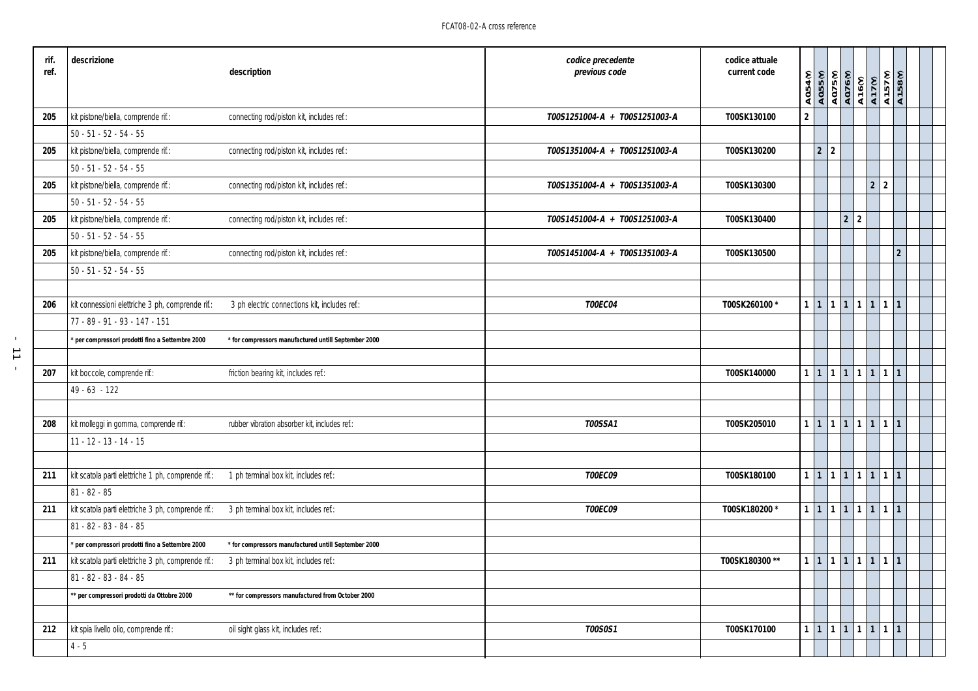| rif.<br>ref. | descrizione                                                                 | description                                          | codice precedente<br>previous code | codice attuale<br>current code | $\begin{array}{l l} \hline \text{A}0.54 \, \text{(N)}\\ \hline \text{A}0.55 \, \text{(N)}\\ \hline \text{A}0.75 \, \text{(N)}\\ \hline \text{A}0.76 \, \text{(N)}\\ \hline \text{A}1.6 \, \text{(N)}\\ \hline \text{A}1.5 \, \text{(N)}\\ \hline \text{A}1.5 \, \text{(N)}\\ \hline \text{A}1.5 \, \text{(N)}\\ \hline \text{A}1.5 \, \text{(N)}\\ \hline \text{A}1.5 \, \text{(N)}\\ \hline \end{array}$ |     |             |   |     |                |  |
|--------------|-----------------------------------------------------------------------------|------------------------------------------------------|------------------------------------|--------------------------------|-----------------------------------------------------------------------------------------------------------------------------------------------------------------------------------------------------------------------------------------------------------------------------------------------------------------------------------------------------------------------------------------------------------|-----|-------------|---|-----|----------------|--|
| 205          | kit pistone/biella, comprende rif.:                                         | connecting rod/piston kit, includes ref.:            | T00S1251004-A + T00S1251003-A      | T00SK130100                    | $\overline{2}$                                                                                                                                                                                                                                                                                                                                                                                            |     |             |   |     |                |  |
|              | $50 - 51 - 52 - 54 - 55$                                                    |                                                      |                                    |                                |                                                                                                                                                                                                                                                                                                                                                                                                           |     |             |   |     |                |  |
| 205          | kit pistone/biella, comprende rif.:                                         | connecting rod/piston kit, includes ref.:            | T00S1351004-A + T00S1251003-A      | T00SK130200                    |                                                                                                                                                                                                                                                                                                                                                                                                           | 2 2 |             |   |     |                |  |
|              | $50 - 51 - 52 - 54 - 55$                                                    |                                                      |                                    |                                |                                                                                                                                                                                                                                                                                                                                                                                                           |     |             |   |     |                |  |
| 205          | kit pistone/biella, comprende rif.:                                         | connecting rod/piston kit, includes ref.:            | T00S1351004-A + T00S1351003-A      | T00SK130300                    |                                                                                                                                                                                                                                                                                                                                                                                                           |     |             |   | 2 2 |                |  |
|              | $50 - 51 - 52 - 54 - 55$                                                    |                                                      |                                    |                                |                                                                                                                                                                                                                                                                                                                                                                                                           |     |             |   |     |                |  |
| 205          | kit pistone/biella, comprende rif.:                                         | connecting rod/piston kit, includes ref.:            | T00S1451004-A + T00S1251003-A      | T00SK130400                    |                                                                                                                                                                                                                                                                                                                                                                                                           |     | $ 2\rangle$ | 2 |     |                |  |
|              | $50 - 51 - 52 - 54 - 55$                                                    |                                                      |                                    |                                |                                                                                                                                                                                                                                                                                                                                                                                                           |     |             |   |     |                |  |
| 205          | kit pistone/biella, comprende rif.:                                         | connecting rod/piston kit, includes ref.:            | T00S1451004-A + T00S1351003-A      | T00SK130500                    |                                                                                                                                                                                                                                                                                                                                                                                                           |     |             |   |     | $\overline{2}$ |  |
|              | $50 - 51 - 52 - 54 - 55$                                                    |                                                      |                                    |                                |                                                                                                                                                                                                                                                                                                                                                                                                           |     |             |   |     |                |  |
|              |                                                                             |                                                      |                                    |                                |                                                                                                                                                                                                                                                                                                                                                                                                           |     |             |   |     |                |  |
| 206          | kit connessioni elettriche 3 ph, comprende rif.:                            | 3 ph electric connections kit, includes ref.:        | T00EC04                            | T00SK260100*                   | 1 1 1 1 1 1 1 1                                                                                                                                                                                                                                                                                                                                                                                           |     |             |   |     |                |  |
|              | 77 - 89 - 91 - 93 - 147 - 151                                               |                                                      |                                    |                                |                                                                                                                                                                                                                                                                                                                                                                                                           |     |             |   |     |                |  |
|              | per compressori prodotti fino a Settembre 2000                              | * for compressors manufactured untill September 2000 |                                    |                                |                                                                                                                                                                                                                                                                                                                                                                                                           |     |             |   |     |                |  |
|              |                                                                             |                                                      |                                    |                                |                                                                                                                                                                                                                                                                                                                                                                                                           |     |             |   |     |                |  |
| 207          | kit boccole, comprende rif.:                                                | friction bearing kit, includes ref.:                 |                                    | T00SK140000                    | $1 \mid 1 \mid 1 \mid 1 \mid 1 \mid 1 \mid 1$                                                                                                                                                                                                                                                                                                                                                             |     |             |   |     |                |  |
|              | $49 - 63 - 122$                                                             |                                                      |                                    |                                |                                                                                                                                                                                                                                                                                                                                                                                                           |     |             |   |     |                |  |
|              |                                                                             |                                                      |                                    |                                |                                                                                                                                                                                                                                                                                                                                                                                                           |     |             |   |     |                |  |
| 208          | kit molleggi in gomma, comprende rif.:                                      | rubber vibration absorber kit, includes ref.:        | <b>T00SSA1</b>                     | T00SK205010                    | $1 \mid 1 \mid 1 \mid 1 \mid 1 \mid 1 \mid 1 \mid 1$                                                                                                                                                                                                                                                                                                                                                      |     |             |   |     |                |  |
|              | $11 - 12 - 13 - 14 - 15$                                                    |                                                      |                                    |                                |                                                                                                                                                                                                                                                                                                                                                                                                           |     |             |   |     |                |  |
|              |                                                                             |                                                      |                                    |                                |                                                                                                                                                                                                                                                                                                                                                                                                           |     |             |   |     |                |  |
| 211          | kit scatola parti elettriche 1 ph, comprende rif.:                          | 1 ph terminal box kit, includes ref.:                | <b>TOOECO9</b>                     | T00SK180100                    | $1 \mid 1 \mid 1 \mid 1 \mid 1 \mid 1 \mid 1 \mid 1$                                                                                                                                                                                                                                                                                                                                                      |     |             |   |     |                |  |
|              | 81 - 82 - 85                                                                |                                                      |                                    |                                |                                                                                                                                                                                                                                                                                                                                                                                                           |     |             |   |     |                |  |
| 211          | kit scatola parti elettriche 3 ph, comprende rif.:                          | 3 ph terminal box kit, includes ref.:                | <b>TOOECO9</b>                     | T00SK180200*                   | $1 \mid 1 \mid 1 \mid 1 \mid 1 \mid 1 \mid 1 \mid 1$                                                                                                                                                                                                                                                                                                                                                      |     |             |   |     |                |  |
|              | 81 - 82 - 83 - 84 - 85                                                      |                                                      |                                    |                                |                                                                                                                                                                                                                                                                                                                                                                                                           |     |             |   |     |                |  |
|              | per compressori prodotti fino a Settembre 2000                              | * for compressors manufactured untill September 2000 |                                    |                                |                                                                                                                                                                                                                                                                                                                                                                                                           |     |             |   |     |                |  |
| 211          | kit scatola parti elettriche 3 ph, comprende rif.<br>81 - 82 - 83 - 84 - 85 | 3 ph terminal box kit, includes ref.:                |                                    | T00SK180300**                  | 1 1 1 1 1 1 1 1                                                                                                                                                                                                                                                                                                                                                                                           |     |             |   |     |                |  |
|              |                                                                             |                                                      |                                    |                                |                                                                                                                                                                                                                                                                                                                                                                                                           |     |             |   |     |                |  |
|              | * per compressori prodotti da Ottobre 2000                                  | ** for compressors manufactured from October 2000    |                                    |                                |                                                                                                                                                                                                                                                                                                                                                                                                           |     |             |   |     |                |  |
| 212          | kit spia livello olio, comprende rif.:                                      | oil sight glass kit, includes ref.:                  | <b>T00S0S1</b>                     | T00SK170100                    | $1$ 1 1 1 1 1 1 1 1                                                                                                                                                                                                                                                                                                                                                                                       |     |             |   |     |                |  |
|              | $4 - 5$                                                                     |                                                      |                                    |                                |                                                                                                                                                                                                                                                                                                                                                                                                           |     |             |   |     |                |  |
|              |                                                                             |                                                      |                                    |                                |                                                                                                                                                                                                                                                                                                                                                                                                           |     |             |   |     |                |  |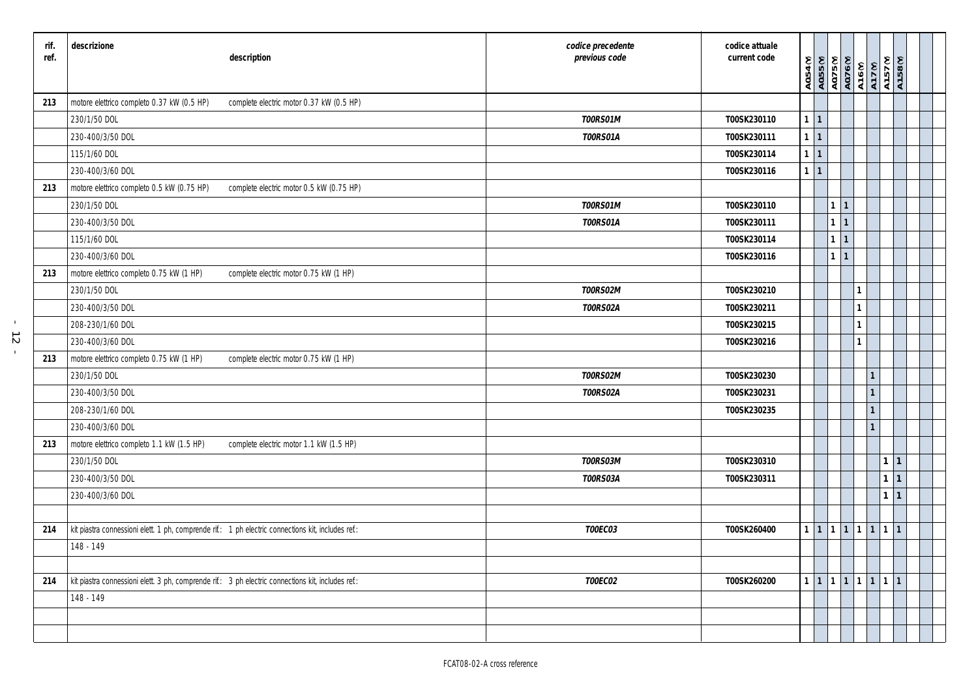| rif.<br>ref. | descrizione<br>description                                                                         | codice precedente<br>previous code | codice attuale<br>current code |                                                                                                                                                                                                                                                                                  |           |   |              |     |  |
|--------------|----------------------------------------------------------------------------------------------------|------------------------------------|--------------------------------|----------------------------------------------------------------------------------------------------------------------------------------------------------------------------------------------------------------------------------------------------------------------------------|-----------|---|--------------|-----|--|
|              |                                                                                                    |                                    |                                | $\begin{array}{l} \hline {\bf A} {\bf 0.54(N)} \\ \hline {\bf A} {\bf 0.55(N)} \\ {\bf A} {\bf 0.75(N)} \\ {\bf A} {\bf 0.76(N)} \\ {\bf A} {\bf 1.6(N)} \\ {\bf A} {\bf 1.57(N)} \\ {\bf A} {\bf 1.57(N)} \\ {\bf A} {\bf 1.58(N)} \\ \hline {\bf A} {\bf 1.58(N)} \end{array}$ |           |   |              |     |  |
| 213          | motore elettrico completo 0.37 kW (0.5 HP)<br>complete electric motor 0.37 kW (0.5 HP)             |                                    |                                |                                                                                                                                                                                                                                                                                  |           |   |              |     |  |
|              | 230/1/50 DOL                                                                                       | T00RS01M                           | T00SK230110                    | 1 1                                                                                                                                                                                                                                                                              |           |   |              |     |  |
|              | 230-400/3/50 DOL                                                                                   | T00RS01A                           | T00SK230111                    | 1 1                                                                                                                                                                                                                                                                              |           |   |              |     |  |
|              | 115/1/60 DOL                                                                                       |                                    | T00SK230114                    | 1 1                                                                                                                                                                                                                                                                              |           |   |              |     |  |
|              | 230-400/3/60 DOL                                                                                   |                                    | T00SK230116                    | 1 1                                                                                                                                                                                                                                                                              |           |   |              |     |  |
| 213          | complete electric motor 0.5 kW (0.75 HP)<br>motore elettrico completo 0.5 kW (0.75 HP)             |                                    |                                |                                                                                                                                                                                                                                                                                  |           |   |              |     |  |
|              | 230/1/50 DOL                                                                                       | T00RS01M                           | T00SK230110                    |                                                                                                                                                                                                                                                                                  | 111       |   |              |     |  |
|              | 230-400/3/50 DOL                                                                                   | T00RS01A                           | T00SK230111                    |                                                                                                                                                                                                                                                                                  | 1 1       |   |              |     |  |
|              | 115/1/60 DOL                                                                                       |                                    | T00SK230114                    |                                                                                                                                                                                                                                                                                  | $1\vert1$ |   |              |     |  |
|              | 230-400/3/60 DOL                                                                                   |                                    | T00SK230116                    |                                                                                                                                                                                                                                                                                  | 1 1       |   |              |     |  |
| 213          | motore elettrico completo 0.75 kW (1 HP)<br>complete electric motor 0.75 kW (1 HP)                 |                                    |                                |                                                                                                                                                                                                                                                                                  |           |   |              |     |  |
|              | 230/1/50 DOL                                                                                       | <b>T00RS02M</b>                    | T00SK230210                    |                                                                                                                                                                                                                                                                                  |           | 1 |              |     |  |
|              | 230-400/3/50 DOL                                                                                   | T00RS02A                           | T00SK230211                    |                                                                                                                                                                                                                                                                                  |           | 1 |              |     |  |
|              | 208-230/1/60 DOL                                                                                   |                                    | T00SK230215                    |                                                                                                                                                                                                                                                                                  |           | 1 |              |     |  |
|              | 230-400/3/60 DOL                                                                                   |                                    | T00SK230216                    |                                                                                                                                                                                                                                                                                  |           | 1 |              |     |  |
| 213          | motore elettrico completo 0.75 kW (1 HP)<br>complete electric motor 0.75 kW (1 HP)                 |                                    |                                |                                                                                                                                                                                                                                                                                  |           |   |              |     |  |
|              | 230/1/50 DOL                                                                                       | <b>TOORSO2M</b>                    | T00SK230230                    |                                                                                                                                                                                                                                                                                  |           |   | $\mathbf{1}$ |     |  |
|              | 230-400/3/50 DOL                                                                                   | T00RS02A                           | T00SK230231                    |                                                                                                                                                                                                                                                                                  |           |   | $\mathbf{1}$ |     |  |
|              | 208-230/1/60 DOL                                                                                   |                                    | T00SK230235                    |                                                                                                                                                                                                                                                                                  |           |   | $\mathbf{1}$ |     |  |
|              | 230-400/3/60 DOL                                                                                   |                                    |                                |                                                                                                                                                                                                                                                                                  |           |   | $\mathbf{1}$ |     |  |
| 213          | motore elettrico completo 1.1 kW (1.5 HP)<br>complete electric motor 1.1 kW (1.5 HP)               |                                    |                                |                                                                                                                                                                                                                                                                                  |           |   |              |     |  |
|              | 230/1/50 DOL                                                                                       | T00RS03M                           | T00SK230310                    |                                                                                                                                                                                                                                                                                  |           |   |              | 1 1 |  |
|              | 230-400/3/50 DOL                                                                                   | T00RS03A                           | T00SK230311                    |                                                                                                                                                                                                                                                                                  |           |   |              | 1 1 |  |
|              | 230-400/3/60 DOL                                                                                   |                                    |                                |                                                                                                                                                                                                                                                                                  |           |   |              | 1 1 |  |
|              |                                                                                                    |                                    |                                |                                                                                                                                                                                                                                                                                  |           |   |              |     |  |
| 214          | kit piastra connessioni elett. 1 ph, comprende rif.: 1 ph electric connections kit, includes ref.: | <b>TOOECO3</b>                     | T00SK260400                    | $1 \mid 1 \mid 1 \mid 1 \mid 1 \mid 1 \mid 1$                                                                                                                                                                                                                                    |           |   |              |     |  |
|              | $148 - 149$                                                                                        |                                    |                                |                                                                                                                                                                                                                                                                                  |           |   |              |     |  |
|              |                                                                                                    |                                    |                                |                                                                                                                                                                                                                                                                                  |           |   |              |     |  |
| 214          | kit piastra connessioni elett. 3 ph, comprende rif.: 3 ph electric connections kit, includes ref.: | <b>TOOECO2</b>                     | T00SK260200                    | 1 1 1 1 1 1 1 1                                                                                                                                                                                                                                                                  |           |   |              |     |  |
|              | 148 - 149                                                                                          |                                    |                                |                                                                                                                                                                                                                                                                                  |           |   |              |     |  |
|              |                                                                                                    |                                    |                                |                                                                                                                                                                                                                                                                                  |           |   |              |     |  |
|              |                                                                                                    |                                    |                                |                                                                                                                                                                                                                                                                                  |           |   |              |     |  |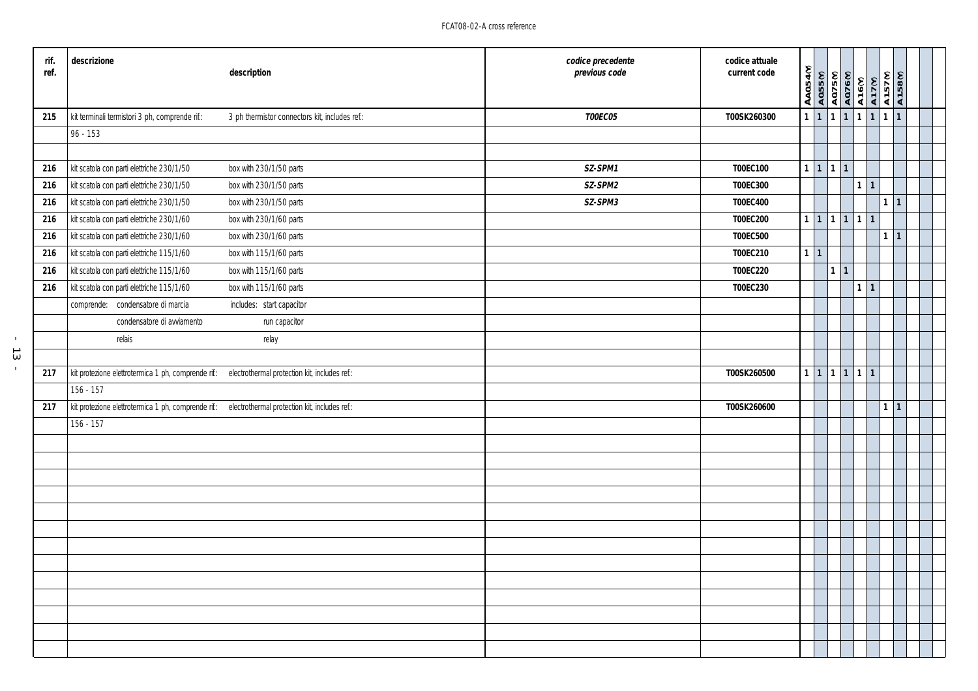| rif.<br>ref. | descrizione                                         | description                                    | codice precedente<br>previous code | codice attuale<br>current code | $\begin{array}{l} \textbf{A0.054} \, (N) \\ \textbf{A0.55} \, (N) \\ \textbf{A0.75} \, (N) \\ \textbf{A0.76} \, (N) \\ \textbf{A16} \, (N) \\ \textbf{A15} \, (N) \\ \textbf{A1.57} \, (N) \\ \textbf{A1.58} \, (N) \\ \textbf{A1.58} \, (N) \\ \end{array}$ |     |   |                           |                   |  |
|--------------|-----------------------------------------------------|------------------------------------------------|------------------------------------|--------------------------------|--------------------------------------------------------------------------------------------------------------------------------------------------------------------------------------------------------------------------------------------------------------|-----|---|---------------------------|-------------------|--|
| 215          | kit terminali termistori 3 ph, comprende rif.:      | 3 ph thermistor connectors kit, includes ref.: | T00EC05                            | T00SK260300                    | $1 \vert 1 \vert$                                                                                                                                                                                                                                            | 1 1 | 1 |                           | 1111              |  |
|              | 96 - 153                                            |                                                |                                    |                                |                                                                                                                                                                                                                                                              |     |   |                           |                   |  |
|              |                                                     |                                                |                                    |                                |                                                                                                                                                                                                                                                              |     |   |                           |                   |  |
| 216          | kit scatola con parti elettriche 230/1/50           | box with 230/1/50 parts                        | SZ-SPM1                            | <b>T00EC100</b>                | 1 1 1 1                                                                                                                                                                                                                                                      |     |   |                           |                   |  |
| 216          | kit scatola con parti elettriche 230/1/50           | box with 230/1/50 parts                        | SZ-SPM2                            | <b>T00EC300</b>                |                                                                                                                                                                                                                                                              |     |   | $1\vert1$                 |                   |  |
| 216          | kit scatola con parti elettriche 230/1/50           | box with 230/1/50 parts                        | SZ-SPM3                            | <b>T00EC400</b>                |                                                                                                                                                                                                                                                              |     |   |                           | 1 1               |  |
| 216          | kit scatola con parti elettriche 230/1/60           | box with 230/1/60 parts                        |                                    | <b>T00EC200</b>                | 1 1 1 1 1 1                                                                                                                                                                                                                                                  |     |   |                           |                   |  |
| 216          | kit scatola con parti elettriche 230/1/60           | box with 230/1/60 parts                        |                                    | <b>T00EC500</b>                |                                                                                                                                                                                                                                                              |     |   |                           | 1 1               |  |
| 216          | kit scatola con parti elettriche 115/1/60           | box with 115/1/60 parts                        |                                    | T00EC210                       | $1\vert 1$                                                                                                                                                                                                                                                   |     |   |                           |                   |  |
| 216          | kit scatola con parti elettriche 115/1/60           | box with 115/1/60 parts                        |                                    | <b>T00EC220</b>                |                                                                                                                                                                                                                                                              | 1 1 |   |                           |                   |  |
| 216          | kit scatola con parti elettriche 115/1/60           | box with 115/1/60 parts                        |                                    | T00EC230                       |                                                                                                                                                                                                                                                              |     |   | $\mathbf{1}$<br>$\vert$ 1 |                   |  |
|              | comprende: condensatore di marcia                   | includes: start capacitor                      |                                    |                                |                                                                                                                                                                                                                                                              |     |   |                           |                   |  |
|              | condensatore di avviamento                          | run capacitor                                  |                                    |                                |                                                                                                                                                                                                                                                              |     |   |                           |                   |  |
|              | relais                                              | relay                                          |                                    |                                |                                                                                                                                                                                                                                                              |     |   |                           |                   |  |
|              |                                                     |                                                |                                    |                                |                                                                                                                                                                                                                                                              |     |   |                           |                   |  |
| 217          | kit protezione elettrotermica 1 ph, comprende rif.: | electrothermal protection kit, includes ref.:  |                                    | T00SK260500                    | 1 1 1 1 1 1                                                                                                                                                                                                                                                  |     |   |                           |                   |  |
|              | $156 - 157$                                         |                                                |                                    |                                |                                                                                                                                                                                                                                                              |     |   |                           |                   |  |
| 217          | kit protezione elettrotermica 1 ph, comprende rif.: | electrothermal protection kit, includes ref.:  |                                    | T00SK260600                    |                                                                                                                                                                                                                                                              |     |   |                           | $1 \vert 1 \vert$ |  |
|              | 156 - 157                                           |                                                |                                    |                                |                                                                                                                                                                                                                                                              |     |   |                           |                   |  |
|              |                                                     |                                                |                                    |                                |                                                                                                                                                                                                                                                              |     |   |                           |                   |  |
|              |                                                     |                                                |                                    |                                |                                                                                                                                                                                                                                                              |     |   |                           |                   |  |
|              |                                                     |                                                |                                    |                                |                                                                                                                                                                                                                                                              |     |   |                           |                   |  |
|              |                                                     |                                                |                                    |                                |                                                                                                                                                                                                                                                              |     |   |                           |                   |  |
|              |                                                     |                                                |                                    |                                |                                                                                                                                                                                                                                                              |     |   |                           |                   |  |
|              |                                                     |                                                |                                    |                                |                                                                                                                                                                                                                                                              |     |   |                           |                   |  |
|              |                                                     |                                                |                                    |                                |                                                                                                                                                                                                                                                              |     |   |                           |                   |  |
|              |                                                     |                                                |                                    |                                |                                                                                                                                                                                                                                                              |     |   |                           |                   |  |
|              |                                                     |                                                |                                    |                                |                                                                                                                                                                                                                                                              |     |   |                           |                   |  |
|              |                                                     |                                                |                                    |                                |                                                                                                                                                                                                                                                              |     |   |                           |                   |  |
|              |                                                     |                                                |                                    |                                |                                                                                                                                                                                                                                                              |     |   |                           |                   |  |
|              |                                                     |                                                |                                    |                                |                                                                                                                                                                                                                                                              |     |   |                           |                   |  |
|              |                                                     |                                                |                                    |                                |                                                                                                                                                                                                                                                              |     |   |                           |                   |  |